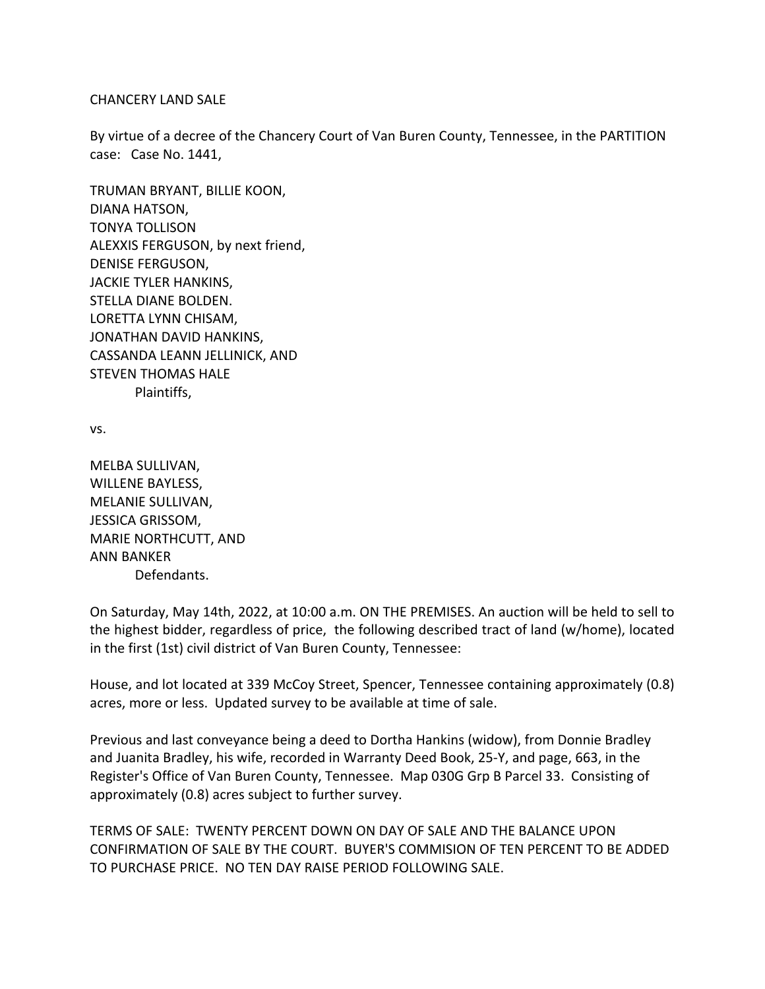## CHANCERY LAND SALE

By virtue of a decree of the Chancery Court of Van Buren County, Tennessee, in the PARTITION case: Case No. 1441,

TRUMAN BRYANT, BILLIE KOON, DIANA HATSON, TONYA TOLLISON ALEXXIS FERGUSON, by next friend, DENISE FERGUSON, JACKIE TYLER HANKINS, STELLA DIANE BOLDEN. LORETTA LYNN CHISAM, JONATHAN DAVID HANKINS, CASSANDA LEANN JELLINICK, AND STEVEN THOMAS HALE Plaintiffs,

vs.

MELBA SULLIVAN, WILLENE BAYLESS, MELANIE SULLIVAN, JESSICA GRISSOM, MARIE NORTHCUTT, AND ANN BANKER Defendants.

On Saturday, May 14th, 2022, at 10:00 a.m. ON THE PREMISES. An auction will be held to sell to the highest bidder, regardless of price, the following described tract of land (w/home), located in the first (1st) civil district of Van Buren County, Tennessee:

House, and lot located at 339 McCoy Street, Spencer, Tennessee containing approximately (0.8) acres, more or less. Updated survey to be available at time of sale.

Previous and last conveyance being a deed to Dortha Hankins (widow), from Donnie Bradley and Juanita Bradley, his wife, recorded in Warranty Deed Book, 25-Y, and page, 663, in the Register's Office of Van Buren County, Tennessee. Map 030G Grp B Parcel 33. Consisting of approximately (0.8) acres subject to further survey.

TERMS OF SALE: TWENTY PERCENT DOWN ON DAY OF SALE AND THE BALANCE UPON CONFIRMATION OF SALE BY THE COURT. BUYER'S COMMISION OF TEN PERCENT TO BE ADDED TO PURCHASE PRICE. NO TEN DAY RAISE PERIOD FOLLOWING SALE.